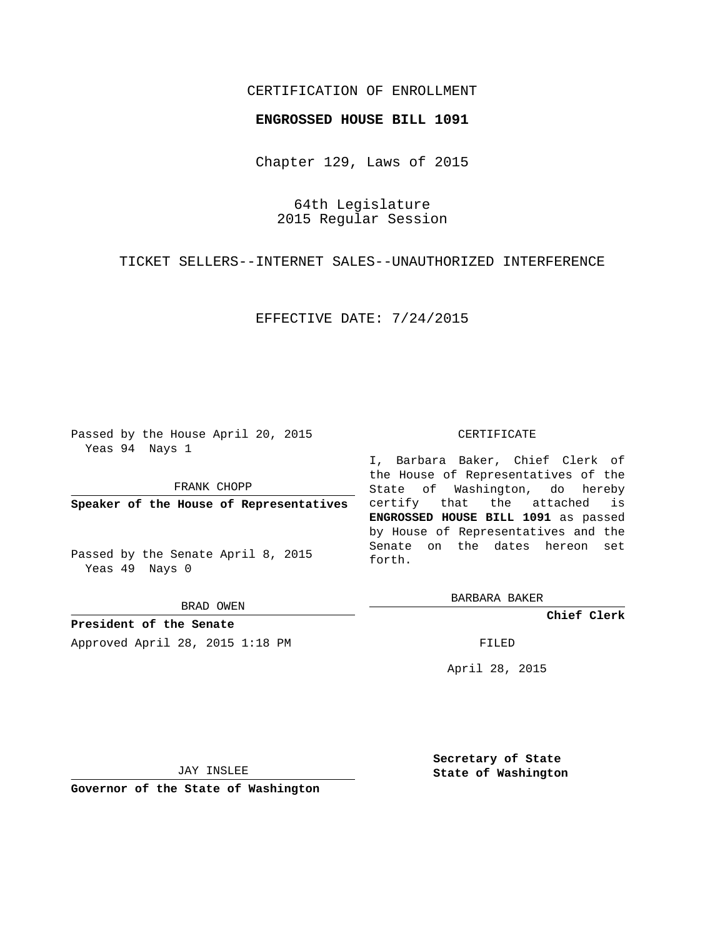## CERTIFICATION OF ENROLLMENT

#### **ENGROSSED HOUSE BILL 1091**

Chapter 129, Laws of 2015

64th Legislature 2015 Regular Session

TICKET SELLERS--INTERNET SALES--UNAUTHORIZED INTERFERENCE

EFFECTIVE DATE: 7/24/2015

Passed by the House April 20, 2015 Yeas 94 Nays 1

FRANK CHOPP

**Speaker of the House of Representatives**

Passed by the Senate April 8, 2015 Yeas 49 Nays 0

BRAD OWEN

**President of the Senate** Approved April 28, 2015 1:18 PM FILED

#### CERTIFICATE

I, Barbara Baker, Chief Clerk of the House of Representatives of the State of Washington, do hereby certify that the attached is **ENGROSSED HOUSE BILL 1091** as passed by House of Representatives and the Senate on the dates hereon set forth.

BARBARA BAKER

**Chief Clerk**

April 28, 2015

JAY INSLEE

**Governor of the State of Washington**

**Secretary of State State of Washington**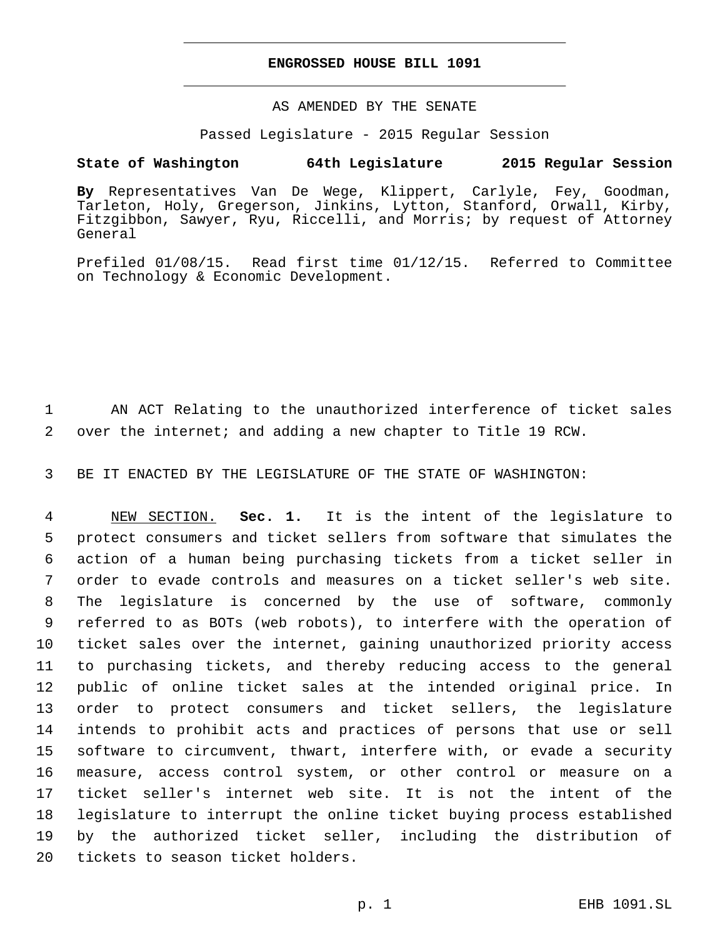#### **ENGROSSED HOUSE BILL 1091**

### AS AMENDED BY THE SENATE

#### Passed Legislature - 2015 Regular Session

# **State of Washington 64th Legislature 2015 Regular Session**

**By** Representatives Van De Wege, Klippert, Carlyle, Fey, Goodman, Tarleton, Holy, Gregerson, Jinkins, Lytton, Stanford, Orwall, Kirby, Fitzgibbon, Sawyer, Ryu, Riccelli, and Morris; by request of Attorney General

Prefiled 01/08/15. Read first time 01/12/15. Referred to Committee on Technology & Economic Development.

 AN ACT Relating to the unauthorized interference of ticket sales over the internet; and adding a new chapter to Title 19 RCW.

BE IT ENACTED BY THE LEGISLATURE OF THE STATE OF WASHINGTON:

 NEW SECTION. **Sec. 1.** It is the intent of the legislature to protect consumers and ticket sellers from software that simulates the action of a human being purchasing tickets from a ticket seller in order to evade controls and measures on a ticket seller's web site. The legislature is concerned by the use of software, commonly referred to as BOTs (web robots), to interfere with the operation of ticket sales over the internet, gaining unauthorized priority access to purchasing tickets, and thereby reducing access to the general public of online ticket sales at the intended original price. In order to protect consumers and ticket sellers, the legislature intends to prohibit acts and practices of persons that use or sell software to circumvent, thwart, interfere with, or evade a security measure, access control system, or other control or measure on a ticket seller's internet web site. It is not the intent of the legislature to interrupt the online ticket buying process established by the authorized ticket seller, including the distribution of tickets to season ticket holders.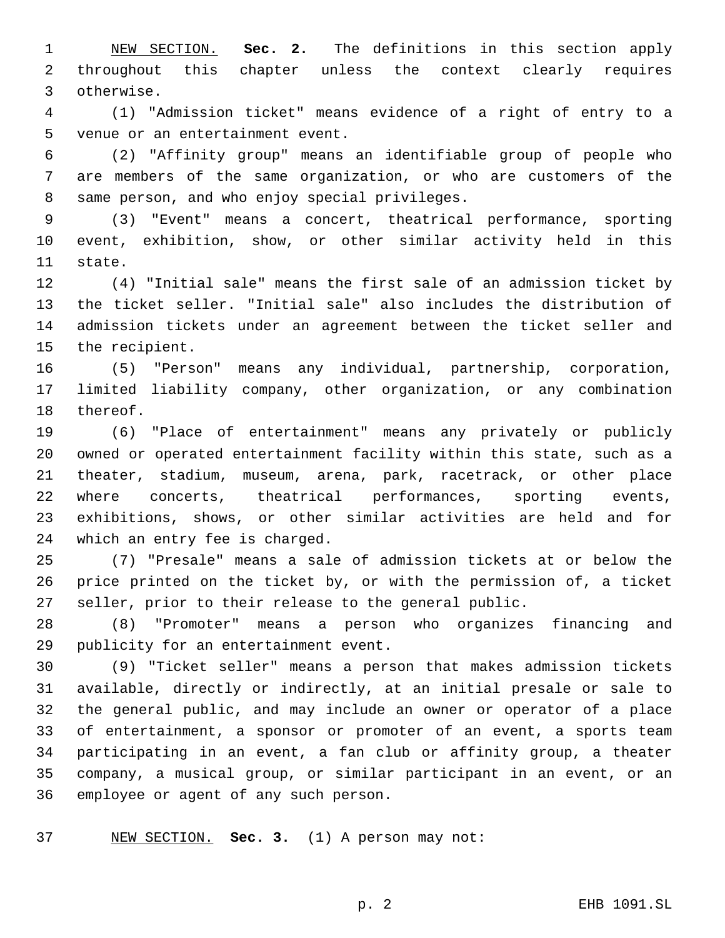NEW SECTION. **Sec. 2.** The definitions in this section apply throughout this chapter unless the context clearly requires otherwise.

 (1) "Admission ticket" means evidence of a right of entry to a 5 venue or an entertainment event.

 (2) "Affinity group" means an identifiable group of people who are members of the same organization, or who are customers of the 8 same person, and who enjoy special privileges.

 (3) "Event" means a concert, theatrical performance, sporting event, exhibition, show, or other similar activity held in this 11 state.

 (4) "Initial sale" means the first sale of an admission ticket by the ticket seller. "Initial sale" also includes the distribution of admission tickets under an agreement between the ticket seller and 15 the recipient.

 (5) "Person" means any individual, partnership, corporation, limited liability company, other organization, or any combination 18 thereof.

 (6) "Place of entertainment" means any privately or publicly owned or operated entertainment facility within this state, such as a theater, stadium, museum, arena, park, racetrack, or other place where concerts, theatrical performances, sporting events, exhibitions, shows, or other similar activities are held and for 24 which an entry fee is charged.

 (7) "Presale" means a sale of admission tickets at or below the price printed on the ticket by, or with the permission of, a ticket seller, prior to their release to the general public.

 (8) "Promoter" means a person who organizes financing and 29 publicity for an entertainment event.

 (9) "Ticket seller" means a person that makes admission tickets available, directly or indirectly, at an initial presale or sale to the general public, and may include an owner or operator of a place of entertainment, a sponsor or promoter of an event, a sports team participating in an event, a fan club or affinity group, a theater company, a musical group, or similar participant in an event, or an 36 employee or agent of any such person.

NEW SECTION. **Sec. 3.** (1) A person may not: